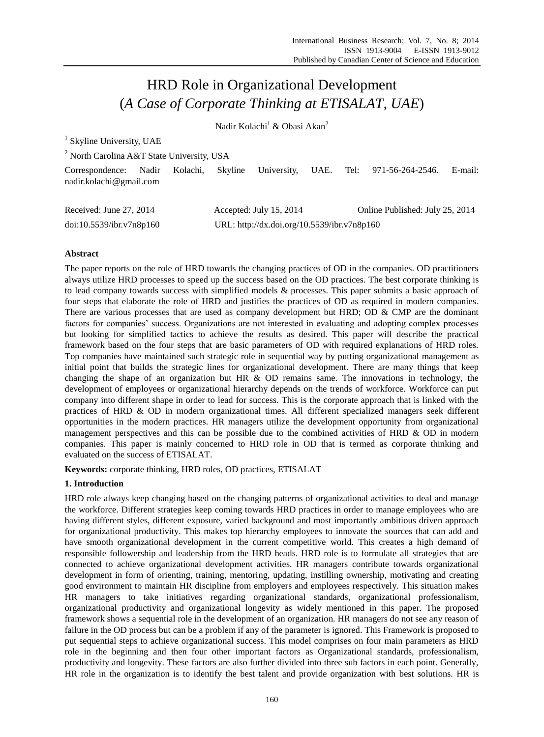# HRD Role in Organizational Development (*A Case of Corporate Thinking at ETISALAT, UAE*)

Nadir Kolachi<sup>1</sup> & Obasi Akan<sup>2</sup>

<sup>1</sup> Skyline University, UAE

<sup>2</sup> North Carolina A&T State University, USA

|                             |  |                                         |  | Correspondence: Nadir Kolachi, Skyline University, UAE. Tel: 971-56-264-2546. E-mail: |  |
|-----------------------------|--|-----------------------------------------|--|---------------------------------------------------------------------------------------|--|
| nadir.kolachi@gmail.com     |  |                                         |  |                                                                                       |  |
|                             |  |                                         |  |                                                                                       |  |
| $P_{1}$ $1$ $I$ $27$ $2014$ |  | $\lambda$ 1 T 1 1 $\tau$ 0.01 $\lambda$ |  | $0.1$ $0.1$ $1.1$ $1.1$ $1.1$ $0.7$ $0.014$                                           |  |

| Received: June 27, 2014  | Accepted: July 15, 2014                     | Online Published: July 25, 2014 |
|--------------------------|---------------------------------------------|---------------------------------|
| doi:10.5539/ibr.v7n8p160 | URL: http://dx.doi.org/10.5539/ibr.v7n8p160 |                                 |

# **Abstract**

The paper reports on the role of HRD towards the changing practices of OD in the companies. OD practitioners always utilize HRD processes to speed up the success based on the OD practices. The best corporate thinking is to lead company towards success with simplified models & processes. This paper submits a basic approach of four steps that elaborate the role of HRD and justifies the practices of OD as required in modern companies. There are various processes that are used as company development but HRD; OD  $\&$  CMP are the dominant factors for companies" success. Organizations are not interested in evaluating and adopting complex processes but looking for simplified tactics to achieve the results as desired. This paper will describe the practical framework based on the four steps that are basic parameters of OD with required explanations of HRD roles. Top companies have maintained such strategic role in sequential way by putting organizational management as initial point that builds the strategic lines for organizational development. There are many things that keep changing the shape of an organization but HR  $\&$  OD remains same. The innovations in technology, the development of employees or organizational hierarchy depends on the trends of workforce. Workforce can put company into different shape in order to lead for success. This is the corporate approach that is linked with the practices of HRD & OD in modern organizational times. All different specialized managers seek different opportunities in the modern practices. HR managers utilize the development opportunity from organizational management perspectives and this can be possible due to the combined activities of HRD & OD in modern companies. This paper is mainly concerned to HRD role in OD that is termed as corporate thinking and evaluated on the success of ETISALAT.

**Keywords:** corporate thinking, HRD roles, OD practices, ETISALAT

# **1. Introduction**

HRD role always keep changing based on the changing patterns of organizational activities to deal and manage the workforce. Different strategies keep coming towards HRD practices in order to manage employees who are having different styles, different exposure, varied background and most importantly ambitious driven approach for organizational productivity. This makes top hierarchy employees to innovate the sources that can add and have smooth organizational development in the current competitive world. This creates a high demand of responsible followership and leadership from the HRD heads. HRD role is to formulate all strategies that are connected to achieve organizational development activities. HR managers contribute towards organizational development in form of orienting, training, mentoring, updating, instilling ownership, motivating and creating good environment to maintain HR discipline from employers and employees respectively. This situation makes HR managers to take initiatives regarding organizational standards, organizational professionalism, organizational productivity and organizational longevity as widely mentioned in this paper. The proposed framework shows a sequential role in the development of an organization. HR managers do not see any reason of failure in the OD process but can be a problem if any of the parameter is ignored. This Framework is proposed to put sequential steps to achieve organizational success. This model comprises on four main parameters as HRD role in the beginning and then four other important factors as Organizational standards, professionalism, productivity and longevity. These factors are also further divided into three sub factors in each point. Generally, HR role in the organization is to identify the best talent and provide organization with best solutions. HR is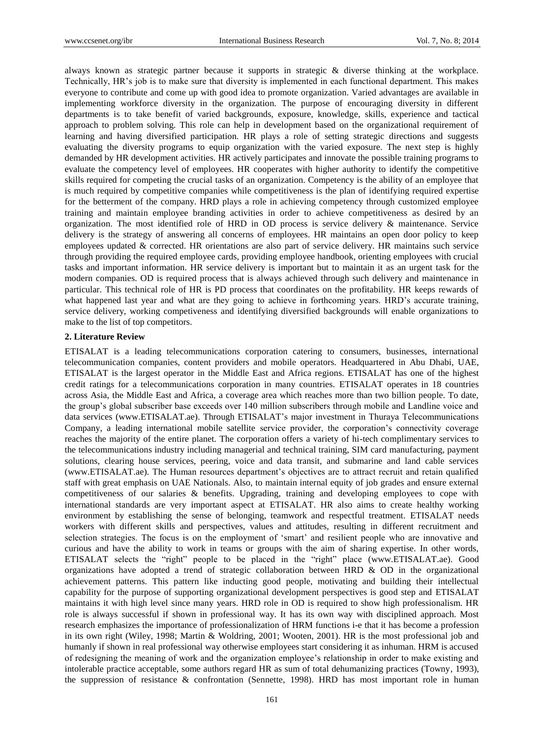always known as strategic partner because it supports in strategic & diverse thinking at the workplace. Technically, HR"s job is to make sure that diversity is implemented in each functional department. This makes everyone to contribute and come up with good idea to promote organization. Varied advantages are available in implementing workforce diversity in the organization. The purpose of encouraging diversity in different departments is to take benefit of varied backgrounds, exposure, knowledge, skills, experience and tactical approach to problem solving. This role can help in development based on the organizational requirement of learning and having diversified participation. HR plays a role of setting strategic directions and suggests evaluating the diversity programs to equip organization with the varied exposure. The next step is highly demanded by HR development activities. HR actively participates and innovate the possible training programs to evaluate the competency level of employees. HR cooperates with higher authority to identify the competitive skills required for competing the crucial tasks of an organization. Competency is the ability of an employee that is much required by competitive companies while competitiveness is the plan of identifying required expertise for the betterment of the company. HRD plays a role in achieving competency through customized employee training and maintain employee branding activities in order to achieve competitiveness as desired by an organization. The most identified role of HRD in OD process is service delivery & maintenance. Service delivery is the strategy of answering all concerns of employees. HR maintains an open door policy to keep employees updated & corrected. HR orientations are also part of service delivery. HR maintains such service through providing the required employee cards, providing employee handbook, orienting employees with crucial tasks and important information. HR service delivery is important but to maintain it as an urgent task for the modern companies. OD is required process that is always achieved through such delivery and maintenance in particular. This technical role of HR is PD process that coordinates on the profitability. HR keeps rewards of what happened last year and what are they going to achieve in forthcoming years. HRD's accurate training, service delivery, working competiveness and identifying diversified backgrounds will enable organizations to make to the list of top competitors.

## **2. Literature Review**

ETISALAT is a leading telecommunications corporation catering to consumers, businesses, international telecommunication companies, content providers and mobile operators. Headquartered in Abu Dhabi, UAE, ETISALAT is the largest operator in the Middle East and Africa regions. ETISALAT has one of the highest credit ratings for a telecommunications corporation in many countries. ETISALAT operates in 18 countries across Asia, the Middle East and Africa, a coverage area which reaches more than two billion people. To date, the group"s global subscriber base exceeds over 140 million subscribers through mobile and Landline voice and data services (www.ETISALAT.ae). Through ETISALAT"s major investment in Thuraya Telecommunications Company, a leading international mobile satellite service provider, the corporation"s connectivity coverage reaches the majority of the entire planet. The corporation offers a variety of hi-tech complimentary services to the telecommunications industry including managerial and technical training, SIM card manufacturing, payment solutions, clearing house services, peering, voice and data transit, and submarine and land cable services (www.ETISALAT.ae). The Human resources department"s objectives are to attract recruit and retain qualified staff with great emphasis on UAE Nationals. Also, to maintain internal equity of job grades and ensure external competitiveness of our salaries & benefits. Upgrading, training and developing employees to cope with international standards are very important aspect at ETISALAT. HR also aims to create healthy working environment by establishing the sense of belonging, teamwork and respectful treatment. ETISALAT needs workers with different skills and perspectives, values and attitudes, resulting in different recruitment and selection strategies. The focus is on the employment of 'smart' and resilient people who are innovative and curious and have the ability to work in teams or groups with the aim of sharing expertise. In other words, ETISALAT selects the "right" people to be placed in the "right" place (www.ETISALAT.ae). Good organizations have adopted a trend of strategic collaboration between HRD & OD in the organizational achievement patterns. This pattern like inducting good people, motivating and building their intellectual capability for the purpose of supporting organizational development perspectives is good step and ETISALAT maintains it with high level since many years. HRD role in OD is required to show high professionalism. HR role is always successful if shown in professional way. It has its own way with disciplined approach. Most research emphasizes the importance of professionalization of HRM functions i-e that it has become a profession in its own right (Wiley, 1998; Martin & Woldring, 2001; Wooten, 2001). HR is the most professional job and humanly if shown in real professional way otherwise employees start considering it as inhuman. HRM is accused of redesigning the meaning of work and the organization employee"s relationship in order to make existing and intolerable practice acceptable, some authors regard HR as sum of total dehumanizing practices (Towny, 1993), the suppression of resistance & confrontation (Sennette, 1998). HRD has most important role in human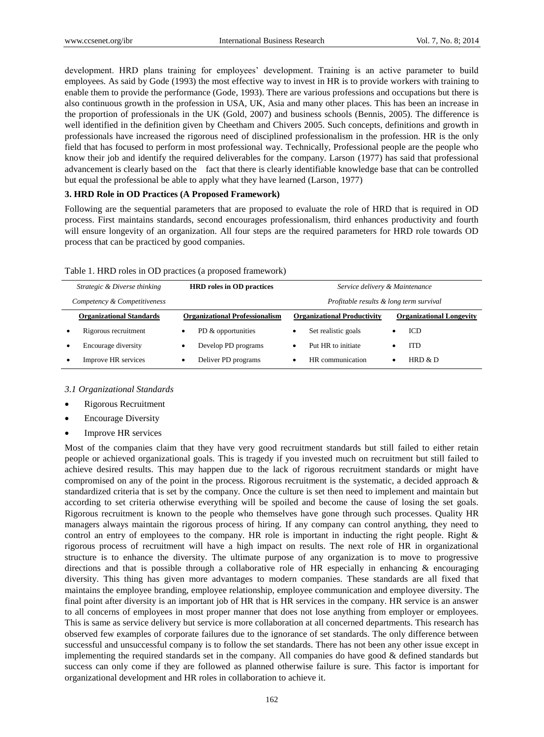development. HRD plans training for employees' development. Training is an active parameter to build employees. As said by Gode (1993) the most effective way to invest in HR is to provide workers with training to enable them to provide the performance (Gode, 1993). There are various professions and occupations but there is also continuous growth in the profession in USA, UK, Asia and many other places. This has been an increase in the proportion of professionals in the UK (Gold, 2007) and business schools (Bennis, 2005). The difference is well identified in the definition given by Cheetham and Chivers 2005. Such concepts, definitions and growth in professionals have increased the rigorous need of disciplined professionalism in the profession. HR is the only field that has focused to perform in most professional way. Technically, Professional people are the people who know their job and identify the required deliverables for the company. Larson (1977) has said that professional advancement is clearly based on the fact that there is clearly identifiable knowledge base that can be controlled but equal the professional be able to apply what they have learned (Larson, 1977)

## **3. HRD Role in OD Practices (A Proposed Framework)**

Following are the sequential parameters that are proposed to evaluate the role of HRD that is required in OD process. First maintains standards, second encourages professionalism, third enhances productivity and fourth will ensure longevity of an organization. All four steps are the required parameters for HRD role towards OD process that can be practiced by good companies.

| Table 1. HRD roles in OD practices (a proposed framework) |  |  |
|-----------------------------------------------------------|--|--|
|-----------------------------------------------------------|--|--|

| Strategic & Diverse thinking |                                 | <b>HRD</b> roles in OD practices |                                       | Service delivery & Maintenance |                                    |                                         |                                 |  |
|------------------------------|---------------------------------|----------------------------------|---------------------------------------|--------------------------------|------------------------------------|-----------------------------------------|---------------------------------|--|
| Competency & Competitiveness |                                 |                                  |                                       |                                |                                    | Profitable results & long term survival |                                 |  |
|                              | <b>Organizational Standards</b> |                                  | <b>Organizational Professionalism</b> |                                | <b>Organizational Productivity</b> |                                         | <b>Organizational Longevity</b> |  |
|                              | Rigorous recruitment            |                                  | PD & opportunities                    | ٠                              | Set realistic goals                |                                         | ICD                             |  |
|                              | Encourage diversity             |                                  | Develop PD programs                   | $\bullet$                      | Put HR to initiate                 |                                         | <b>ITD</b>                      |  |
|                              | Improve HR services             | ٠                                | Deliver PD programs                   | ٠                              | HR communication                   |                                         | HRD $&$ D                       |  |

*3.1 Organizational Standards*

- Rigorous Recruitment
- Encourage Diversity
- Improve HR services

Most of the companies claim that they have very good recruitment standards but still failed to either retain people or achieved organizational goals. This is tragedy if you invested much on recruitment but still failed to achieve desired results. This may happen due to the lack of rigorous recruitment standards or might have compromised on any of the point in the process. Rigorous recruitment is the systematic, a decided approach & standardized criteria that is set by the company. Once the culture is set then need to implement and maintain but according to set criteria otherwise everything will be spoiled and become the cause of losing the set goals. Rigorous recruitment is known to the people who themselves have gone through such processes. Quality HR managers always maintain the rigorous process of hiring. If any company can control anything, they need to control an entry of employees to the company. HR role is important in inducting the right people. Right & rigorous process of recruitment will have a high impact on results. The next role of HR in organizational structure is to enhance the diversity. The ultimate purpose of any organization is to move to progressive directions and that is possible through a collaborative role of HR especially in enhancing  $\&$  encouraging diversity. This thing has given more advantages to modern companies. These standards are all fixed that maintains the employee branding, employee relationship, employee communication and employee diversity. The final point after diversity is an important job of HR that is HR services in the company. HR service is an answer to all concerns of employees in most proper manner that does not lose anything from employer or employees. This is same as service delivery but service is more collaboration at all concerned departments. This research has observed few examples of corporate failures due to the ignorance of set standards. The only difference between successful and unsuccessful company is to follow the set standards. There has not been any other issue except in implementing the required standards set in the company. All companies do have good  $\&$  defined standards but success can only come if they are followed as planned otherwise failure is sure. This factor is important for organizational development and HR roles in collaboration to achieve it.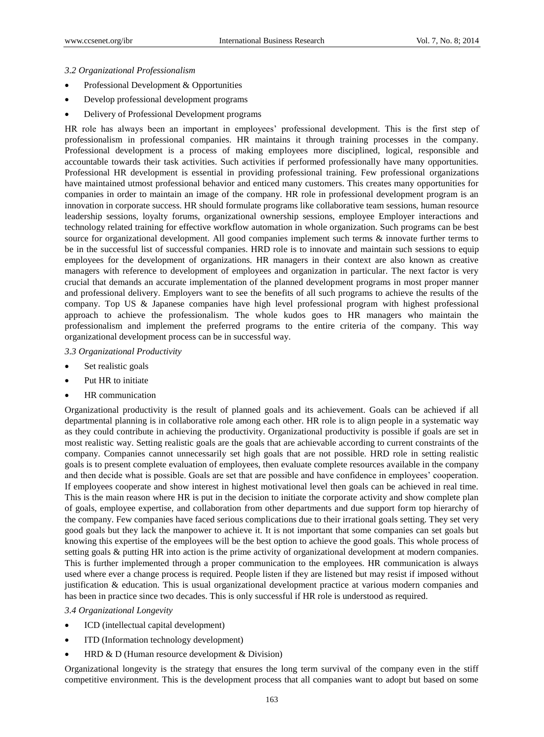## *3.2 Organizational Professionalism*

- Professional Development & Opportunities
- Develop professional development programs
- Delivery of Professional Development programs

HR role has always been an important in employees" professional development. This is the first step of professionalism in professional companies. HR maintains it through training processes in the company. Professional development is a process of making employees more disciplined, logical, responsible and accountable towards their task activities. Such activities if performed professionally have many opportunities. Professional HR development is essential in providing professional training. Few professional organizations have maintained utmost professional behavior and enticed many customers. This creates many opportunities for companies in order to maintain an image of the company. HR role in professional development program is an innovation in corporate success. HR should formulate programs like collaborative team sessions, human resource leadership sessions, loyalty forums, organizational ownership sessions, employee Employer interactions and technology related training for effective workflow automation in whole organization. Such programs can be best source for organizational development. All good companies implement such terms & innovate further terms to be in the successful list of successful companies. HRD role is to innovate and maintain such sessions to equip employees for the development of organizations. HR managers in their context are also known as creative managers with reference to development of employees and organization in particular. The next factor is very crucial that demands an accurate implementation of the planned development programs in most proper manner and professional delivery. Employers want to see the benefits of all such programs to achieve the results of the company. Top US & Japanese companies have high level professional program with highest professional approach to achieve the professionalism. The whole kudos goes to HR managers who maintain the professionalism and implement the preferred programs to the entire criteria of the company. This way organizational development process can be in successful way.

# *3.3 Organizational Productivity*

- Set realistic goals
- Put HR to initiate
- HR communication

Organizational productivity is the result of planned goals and its achievement. Goals can be achieved if all departmental planning is in collaborative role among each other. HR role is to align people in a systematic way as they could contribute in achieving the productivity. Organizational productivity is possible if goals are set in most realistic way. Setting realistic goals are the goals that are achievable according to current constraints of the company. Companies cannot unnecessarily set high goals that are not possible. HRD role in setting realistic goals is to present complete evaluation of employees, then evaluate complete resources available in the company and then decide what is possible. Goals are set that are possible and have confidence in employees" cooperation. If employees cooperate and show interest in highest motivational level then goals can be achieved in real time. This is the main reason where HR is put in the decision to initiate the corporate activity and show complete plan of goals, employee expertise, and collaboration from other departments and due support form top hierarchy of the company. Few companies have faced serious complications due to their irrational goals setting. They set very good goals but they lack the manpower to achieve it. It is not important that some companies can set goals but knowing this expertise of the employees will be the best option to achieve the good goals. This whole process of setting goals & putting HR into action is the prime activity of organizational development at modern companies. This is further implemented through a proper communication to the employees. HR communication is always used where ever a change process is required. People listen if they are listened but may resist if imposed without justification & education. This is usual organizational development practice at various modern companies and has been in practice since two decades. This is only successful if HR role is understood as required.

#### *3.4 Organizational Longevity*

- ICD (intellectual capital development)
- ITD (Information technology development)
- HRD & D (Human resource development & Division)

Organizational longevity is the strategy that ensures the long term survival of the company even in the stiff competitive environment. This is the development process that all companies want to adopt but based on some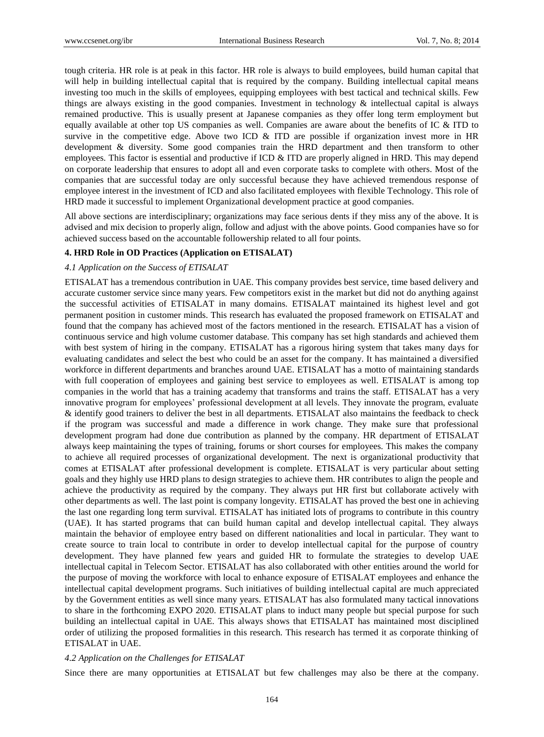tough criteria. HR role is at peak in this factor. HR role is always to build employees, build human capital that will help in building intellectual capital that is required by the company. Building intellectual capital means investing too much in the skills of employees, equipping employees with best tactical and technical skills. Few things are always existing in the good companies. Investment in technology & intellectual capital is always remained productive. This is usually present at Japanese companies as they offer long term employment but equally available at other top US companies as well. Companies are aware about the benefits of IC & ITD to survive in the competitive edge. Above two ICD & ITD are possible if organization invest more in HR development & diversity. Some good companies train the HRD department and then transform to other employees. This factor is essential and productive if ICD & ITD are properly aligned in HRD. This may depend on corporate leadership that ensures to adopt all and even corporate tasks to complete with others. Most of the companies that are successful today are only successful because they have achieved tremendous response of employee interest in the investment of ICD and also facilitated employees with flexible Technology. This role of HRD made it successful to implement Organizational development practice at good companies.

All above sections are interdisciplinary; organizations may face serious dents if they miss any of the above. It is advised and mix decision to properly align, follow and adjust with the above points. Good companies have so for achieved success based on the accountable followership related to all four points.

#### **4. HRD Role in OD Practices (Application on ETISALAT)**

## *4.1 Application on the Success of ETISALAT*

ETISALAT has a tremendous contribution in UAE. This company provides best service, time based delivery and accurate customer service since many years. Few competitors exist in the market but did not do anything against the successful activities of ETISALAT in many domains. ETISALAT maintained its highest level and got permanent position in customer minds. This research has evaluated the proposed framework on ETISALAT and found that the company has achieved most of the factors mentioned in the research. ETISALAT has a vision of continuous service and high volume customer database. This company has set high standards and achieved them with best system of hiring in the company. ETISALAT has a rigorous hiring system that takes many days for evaluating candidates and select the best who could be an asset for the company. It has maintained a diversified workforce in different departments and branches around UAE. ETISALAT has a motto of maintaining standards with full cooperation of employees and gaining best service to employees as well. ETISALAT is among top companies in the world that has a training academy that transforms and trains the staff. ETISALAT has a very innovative program for employees" professional development at all levels. They innovate the program, evaluate & identify good trainers to deliver the best in all departments. ETISALAT also maintains the feedback to check if the program was successful and made a difference in work change. They make sure that professional development program had done due contribution as planned by the company. HR department of ETISALAT always keep maintaining the types of training, forums or short courses for employees. This makes the company to achieve all required processes of organizational development. The next is organizational productivity that comes at ETISALAT after professional development is complete. ETISALAT is very particular about setting goals and they highly use HRD plans to design strategies to achieve them. HR contributes to align the people and achieve the productivity as required by the company. They always put HR first but collaborate actively with other departments as well. The last point is company longevity. ETISALAT has proved the best one in achieving the last one regarding long term survival. ETISALAT has initiated lots of programs to contribute in this country (UAE). It has started programs that can build human capital and develop intellectual capital. They always maintain the behavior of employee entry based on different nationalities and local in particular. They want to create source to train local to contribute in order to develop intellectual capital for the purpose of country development. They have planned few years and guided HR to formulate the strategies to develop UAE intellectual capital in Telecom Sector. ETISALAT has also collaborated with other entities around the world for the purpose of moving the workforce with local to enhance exposure of ETISALAT employees and enhance the intellectual capital development programs. Such initiatives of building intellectual capital are much appreciated by the Government entities as well since many years. ETISALAT has also formulated many tactical innovations to share in the forthcoming EXPO 2020. ETISALAT plans to induct many people but special purpose for such building an intellectual capital in UAE. This always shows that ETISALAT has maintained most disciplined order of utilizing the proposed formalities in this research. This research has termed it as corporate thinking of ETISALAT in UAE.

#### *4.2 Application on the Challenges for ETISALAT*

Since there are many opportunities at ETISALAT but few challenges may also be there at the company.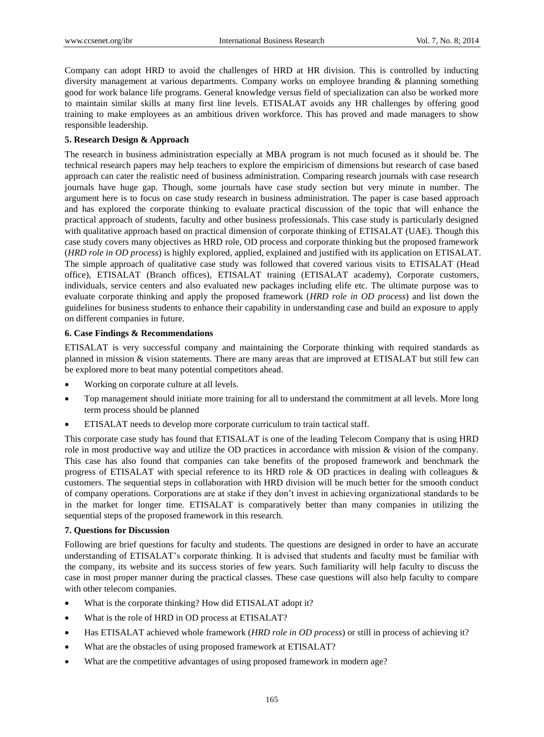Company can adopt HRD to avoid the challenges of HRD at HR division. This is controlled by inducting diversity management at various departments. Company works on employee branding & planning something good for work balance life programs. General knowledge versus field of specialization can also be worked more to maintain similar skills at many first line levels. ETISALAT avoids any HR challenges by offering good training to make employees as an ambitious driven workforce. This has proved and made managers to show responsible leadership.

# **5. Research Design & Approach**

The research in business administration especially at MBA program is not much focused as it should be. The technical research papers may help teachers to explore the empiricism of dimensions but research of case based approach can cater the realistic need of business administration. Comparing research journals with case research journals have huge gap. Though, some journals have case study section but very minute in number. The argument here is to focus on case study research in business administration. The paper is case based approach and has explored the corporate thinking to evaluate practical discussion of the topic that will enhance the practical approach of students, faculty and other business professionals. This case study is particularly designed with qualitative approach based on practical dimension of corporate thinking of ETISALAT (UAE). Though this case study covers many objectives as HRD role, OD process and corporate thinking but the proposed framework (*HRD role in OD process*) is highly explored, applied, explained and justified with its application on ETISALAT. The simple approach of qualitative case study was followed that covered various visits to ETISALAT (Head office), ETISALAT (Branch offices), ETISALAT training (ETISALAT academy), Corporate customers, individuals, service centers and also evaluated new packages including elife etc. The ultimate purpose was to evaluate corporate thinking and apply the proposed framework (*HRD role in OD process*) and list down the guidelines for business students to enhance their capability in understanding case and build an exposure to apply on different companies in future.

# **6. Case Findings & Recommendations**

ETISALAT is very successful company and maintaining the Corporate thinking with required standards as planned in mission & vision statements. There are many areas that are improved at ETISALAT but still few can be explored more to beat many potential competitors ahead.

- Working on corporate culture at all levels.
- Top management should initiate more training for all to understand the commitment at all levels. More long term process should be planned
- ETISALAT needs to develop more corporate curriculum to train tactical staff.

This corporate case study has found that ETISALAT is one of the leading Telecom Company that is using HRD role in most productive way and utilize the OD practices in accordance with mission & vision of the company. This case has also found that companies can take benefits of the proposed framework and benchmark the progress of ETISALAT with special reference to its HRD role & OD practices in dealing with colleagues & customers. The sequential steps in collaboration with HRD division will be much better for the smooth conduct of company operations. Corporations are at stake if they don"t invest in achieving organizational standards to be in the market for longer time. ETISALAT is comparatively better than many companies in utilizing the sequential steps of the proposed framework in this research.

# **7. Questions for Discussion**

Following are brief questions for faculty and students. The questions are designed in order to have an accurate understanding of ETISALAT"s corporate thinking. It is advised that students and faculty must be familiar with the company, its website and its success stories of few years. Such familiarity will help faculty to discuss the case in most proper manner during the practical classes. These case questions will also help faculty to compare with other telecom companies.

- What is the corporate thinking? How did ETISALAT adopt it?
- What is the role of HRD in OD process at ETISALAT?
- Has ETISALAT achieved whole framework (*HRD role in OD process*) or still in process of achieving it?
- What are the obstacles of using proposed framework at ETISALAT?
- What are the competitive advantages of using proposed framework in modern age?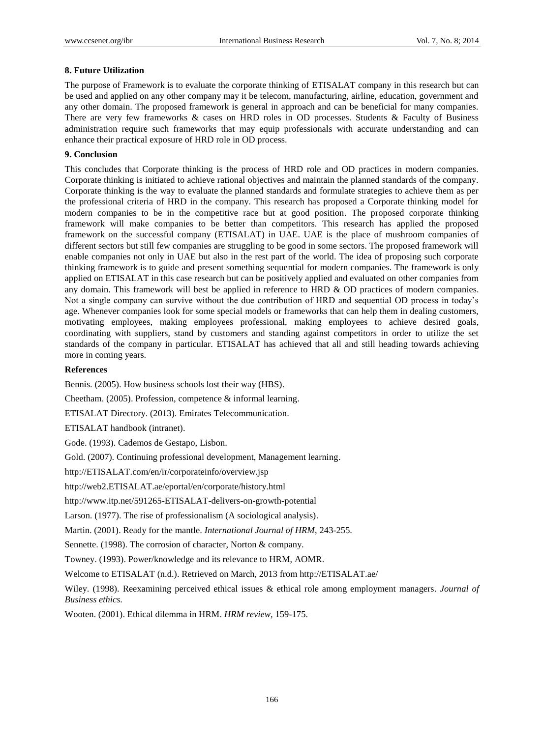## **8. Future Utilization**

The purpose of Framework is to evaluate the corporate thinking of ETISALAT company in this research but can be used and applied on any other company may it be telecom, manufacturing, airline, education, government and any other domain. The proposed framework is general in approach and can be beneficial for many companies. There are very few frameworks & cases on HRD roles in OD processes. Students & Faculty of Business administration require such frameworks that may equip professionals with accurate understanding and can enhance their practical exposure of HRD role in OD process.

## **9. Conclusion**

This concludes that Corporate thinking is the process of HRD role and OD practices in modern companies. Corporate thinking is initiated to achieve rational objectives and maintain the planned standards of the company. Corporate thinking is the way to evaluate the planned standards and formulate strategies to achieve them as per the professional criteria of HRD in the company. This research has proposed a Corporate thinking model for modern companies to be in the competitive race but at good position. The proposed corporate thinking framework will make companies to be better than competitors. This research has applied the proposed framework on the successful company (ETISALAT) in UAE. UAE is the place of mushroom companies of different sectors but still few companies are struggling to be good in some sectors. The proposed framework will enable companies not only in UAE but also in the rest part of the world. The idea of proposing such corporate thinking framework is to guide and present something sequential for modern companies. The framework is only applied on ETISALAT in this case research but can be positively applied and evaluated on other companies from any domain. This framework will best be applied in reference to HRD & OD practices of modern companies. Not a single company can survive without the due contribution of HRD and sequential OD process in today"s age. Whenever companies look for some special models or frameworks that can help them in dealing customers, motivating employees, making employees professional, making employees to achieve desired goals, coordinating with suppliers, stand by customers and standing against competitors in order to utilize the set standards of the company in particular. ETISALAT has achieved that all and still heading towards achieving more in coming years.

#### **References**

Bennis. (2005). How business schools lost their way (HBS).

Cheetham. (2005). Profession, competence & informal learning.

ETISALAT Directory. (2013). Emirates Telecommunication.

ETISALAT handbook (intranet).

Gode. (1993). Cademos de Gestapo, Lisbon.

Gold. (2007). Continuing professional development, Management learning.

http://ETISALAT.com/en/ir/corporateinfo/overview.jsp

http://web2.ETISALAT.ae/eportal/en/corporate/history.html

http://www.itp.net/591265-ETISALAT-delivers-on-growth-potential

Larson. (1977). The rise of professionalism (A sociological analysis).

Martin. (2001). Ready for the mantle. *International Journal of HRM*, 243-255.

Sennette. (1998). The corrosion of character, Norton & company.

Towney. (1993). Power/knowledge and its relevance to HRM, AOMR.

Welcome to ETISALAT (n.d.). Retrieved on March, 2013 from http://ETISALAT.ae/

Wiley. (1998). Reexamining perceived ethical issues & ethical role among employment managers. *Journal of Business ethics*.

Wooten. (2001). Ethical dilemma in HRM. *HRM review*, 159-175.